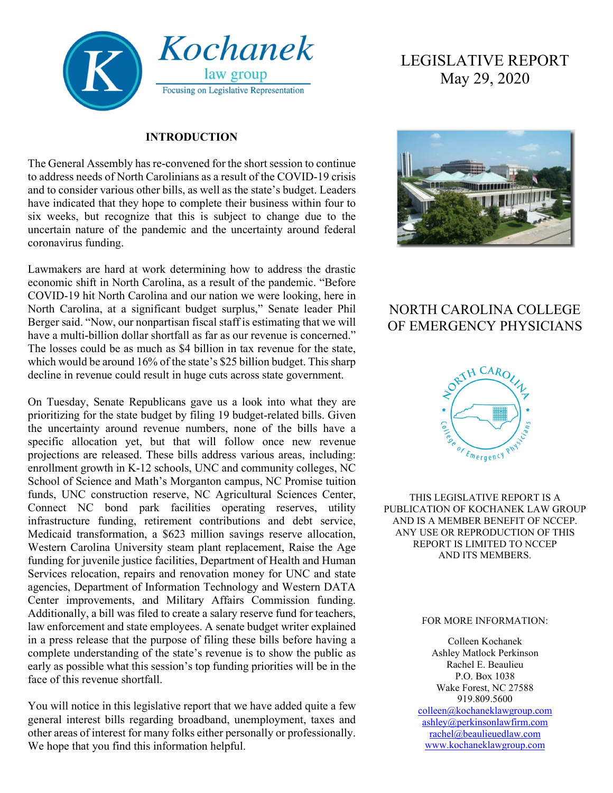

#### **INTRODUCTION**

The General Assembly has re-convened for the short session to continue to address needs of North Carolinians as a result of the COVID-19 crisis and to consider various other bills, as well as the state's budget. Leaders have indicated that they hope to complete their business within four to six weeks, but recognize that this is subject to change due to the uncertain nature of the pandemic and the uncertainty around federal coronavirus funding.

Lawmakers are hard at work determining how to address the drastic economic shift in North Carolina, as a result of the pandemic. "Before COVID-19 hit North Carolina and our nation we were looking, here in North Carolina, at a significant budget surplus," Senate leader Phil Berger said. "Now, our nonpartisan fiscal staff is estimating that we will have a multi-billion dollar shortfall as far as our revenue is concerned." The losses could be as much as \$4 billion in tax revenue for the state, which would be around 16% of the state's \$25 billion budget. This sharp decline in revenue could result in huge cuts across state government.

On Tuesday, Senate Republicans gave us a look into what they are prioritizing for the state budget by filing 19 budget-related bills. Given the uncertainty around revenue numbers, none of the bills have a specific allocation yet, but that will follow once new revenue projections are released. These bills address various areas, including: enrollment growth in K-12 schools, UNC and community colleges, NC School of Science and Math's Morganton campus, NC Promise tuition funds, UNC construction reserve, NC Agricultural Sciences Center, Connect NC bond park facilities operating reserves, utility infrastructure funding, retirement contributions and debt service, Medicaid transformation, a \$623 million savings reserve allocation, Western Carolina University steam plant replacement, Raise the Age funding for juvenile justice facilities, Department of Health and Human Services relocation, repairs and renovation money for UNC and state agencies, Department of Information Technology and Western DATA Center improvements, and Military Affairs Commission funding. Additionally, a bill was filed to create a salary reserve fund for teachers, law enforcement and state employees. A senate budget writer explained in a press release that the purpose of filing these bills before having a complete understanding of the state's revenue is to show the public as early as possible what this session's top funding priorities will be in the face of this revenue shortfall.

You will notice in this legislative report that we have added quite a few general interest bills regarding broadband, unemployment, taxes and other areas of interest for many folks either personally or professionally. We hope that you find this information helpful.

# LEGISLATIVE REPORT May 29, 2020



## NORTH CAROLINA COLLEGE OF EMERGENCY PHYSICIANS



THIS LEGISLATIVE REPORT IS A PUBLICATION OF KOCHANEK LAW GROUP AND IS A MEMBER BENEFIT OF NCCEP. ANY USE OR REPRODUCTION OF THIS REPORT IS LIMITED TO NCCEP AND ITS MEMBERS.

#### FOR MORE INFORMATION:

Colleen Kochanek Ashley Matlock Perkinson Rachel E. Beaulieu P.O. Box 1038 Wake Forest, NC 27588 919.809.5600 [colleen@kochaneklawgroup.com](mailto:colleen@kochaneklawgroup.com) [ashley@perkinsonlawfirm.com](mailto:ashley@perkinsonlawfirm.com) [rachel@beaulieuedlaw.com](mailto:rachel@beaulieuedlaw.com)

[www.kochaneklawgroup.com](http://www.kochaneklawgroup.com/)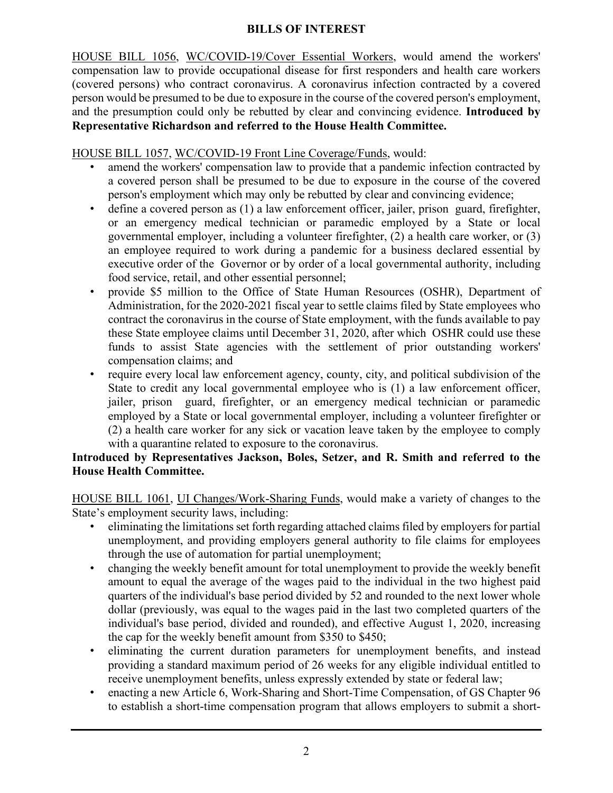#### **BILLS OF INTEREST**

HOUSE BILL 1056, WC/COVID-19/Cover Essential Workers, would amend the workers' compensation law to provide occupational disease for first responders and health care workers (covered persons) who contract coronavirus. A coronavirus infection contracted by a covered person would be presumed to be due to exposure in the course of the covered person's employment, and the presumption could only be rebutted by clear and convincing evidence. **Introduced by Representative Richardson and referred to the House Health Committee.**

#### HOUSE BILL 1057, WC/COVID-19 Front Line Coverage/Funds, would:

- amend the workers' compensation law to provide that a pandemic infection contracted by a covered person shall be presumed to be due to exposure in the course of the covered person's employment which may only be rebutted by clear and convincing evidence;
- define a covered person as (1) a law enforcement officer, jailer, prison guard, firefighter, or an emergency medical technician or paramedic employed by a State or local governmental employer, including a volunteer firefighter, (2) a health care worker, or (3) an employee required to work during a pandemic for a business declared essential by executive order of the Governor or by order of a local governmental authority, including food service, retail, and other essential personnel;
- provide \$5 million to the Office of State Human Resources (OSHR), Department of Administration, for the 2020-2021 fiscal year to settle claims filed by State employees who contract the coronavirus in the course of State employment, with the funds available to pay these State employee claims until December 31, 2020, after which OSHR could use these funds to assist State agencies with the settlement of prior outstanding workers' compensation claims; and
- require every local law enforcement agency, county, city, and political subdivision of the State to credit any local governmental employee who is (1) a law enforcement officer, jailer, prison guard, firefighter, or an emergency medical technician or paramedic employed by a State or local governmental employer, including a volunteer firefighter or (2) a health care worker for any sick or vacation leave taken by the employee to comply with a quarantine related to exposure to the coronavirus.

#### **Introduced by Representatives Jackson, Boles, Setzer, and R. Smith and referred to the House Health Committee.**

HOUSE BILL 1061, UI Changes/Work-Sharing Funds, would make a variety of changes to the State's employment security laws, including:

- eliminating the limitations set forth regarding attached claims filed by employers for partial unemployment, and providing employers general authority to file claims for employees through the use of automation for partial unemployment;
- changing the weekly benefit amount for total unemployment to provide the weekly benefit amount to equal the average of the wages paid to the individual in the two highest paid quarters of the individual's base period divided by 52 and rounded to the next lower whole dollar (previously, was equal to the wages paid in the last two completed quarters of the individual's base period, divided and rounded), and effective August 1, 2020, increasing the cap for the weekly benefit amount from \$350 to \$450;
- eliminating the current duration parameters for unemployment benefits, and instead providing a standard maximum period of 26 weeks for any eligible individual entitled to receive unemployment benefits, unless expressly extended by state or federal law;
- enacting a new Article 6, Work-Sharing and Short-Time Compensation, of GS Chapter 96 to establish a short-time compensation program that allows employers to submit a short-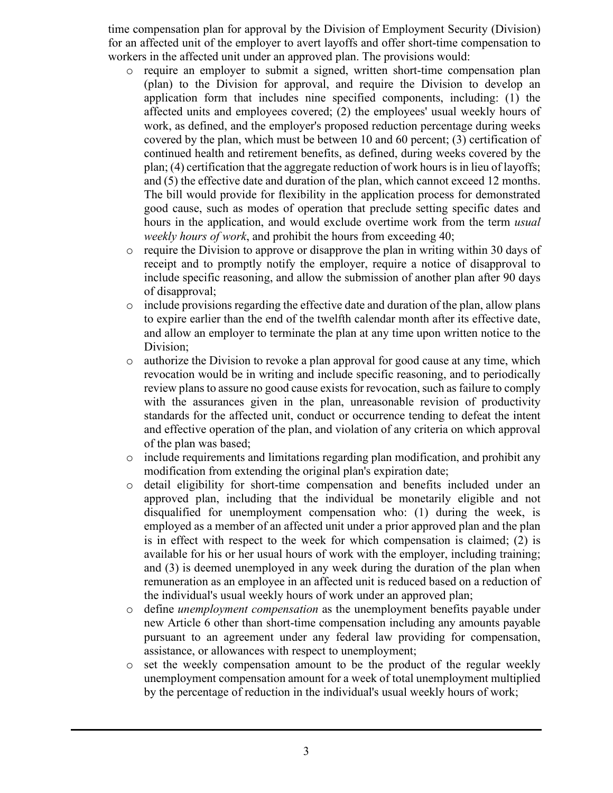time compensation plan for approval by the Division of Employment Security (Division) for an affected unit of the employer to avert layoffs and offer short-time compensation to workers in the affected unit under an approved plan. The provisions would:

- o require an employer to submit a signed, written short-time compensation plan (plan) to the Division for approval, and require the Division to develop an application form that includes nine specified components, including: (1) the affected units and employees covered; (2) the employees' usual weekly hours of work, as defined, and the employer's proposed reduction percentage during weeks covered by the plan, which must be between 10 and 60 percent; (3) certification of continued health and retirement benefits, as defined, during weeks covered by the plan; (4) certification that the aggregate reduction of work hours is in lieu of layoffs; and (5) the effective date and duration of the plan, which cannot exceed 12 months. The bill would provide for flexibility in the application process for demonstrated good cause, such as modes of operation that preclude setting specific dates and hours in the application, and would exclude overtime work from the term *usual weekly hours of work*, and prohibit the hours from exceeding 40;
- $\circ$  require the Division to approve or disapprove the plan in writing within 30 days of receipt and to promptly notify the employer, require a notice of disapproval to include specific reasoning, and allow the submission of another plan after 90 days of disapproval;
- o include provisions regarding the effective date and duration of the plan, allow plans to expire earlier than the end of the twelfth calendar month after its effective date, and allow an employer to terminate the plan at any time upon written notice to the Division;
- o authorize the Division to revoke a plan approval for good cause at any time, which revocation would be in writing and include specific reasoning, and to periodically review plans to assure no good cause exists for revocation, such as failure to comply with the assurances given in the plan, unreasonable revision of productivity standards for the affected unit, conduct or occurrence tending to defeat the intent and effective operation of the plan, and violation of any criteria on which approval of the plan was based;
- o include requirements and limitations regarding plan modification, and prohibit any modification from extending the original plan's expiration date;
- o detail eligibility for short-time compensation and benefits included under an approved plan, including that the individual be monetarily eligible and not disqualified for unemployment compensation who: (1) during the week, is employed as a member of an affected unit under a prior approved plan and the plan is in effect with respect to the week for which compensation is claimed; (2) is available for his or her usual hours of work with the employer, including training; and (3) is deemed unemployed in any week during the duration of the plan when remuneration as an employee in an affected unit is reduced based on a reduction of the individual's usual weekly hours of work under an approved plan;
- o define *unemployment compensation* as the unemployment benefits payable under new Article 6 other than short-time compensation including any amounts payable pursuant to an agreement under any federal law providing for compensation, assistance, or allowances with respect to unemployment;
- o set the weekly compensation amount to be the product of the regular weekly unemployment compensation amount for a week of total unemployment multiplied by the percentage of reduction in the individual's usual weekly hours of work;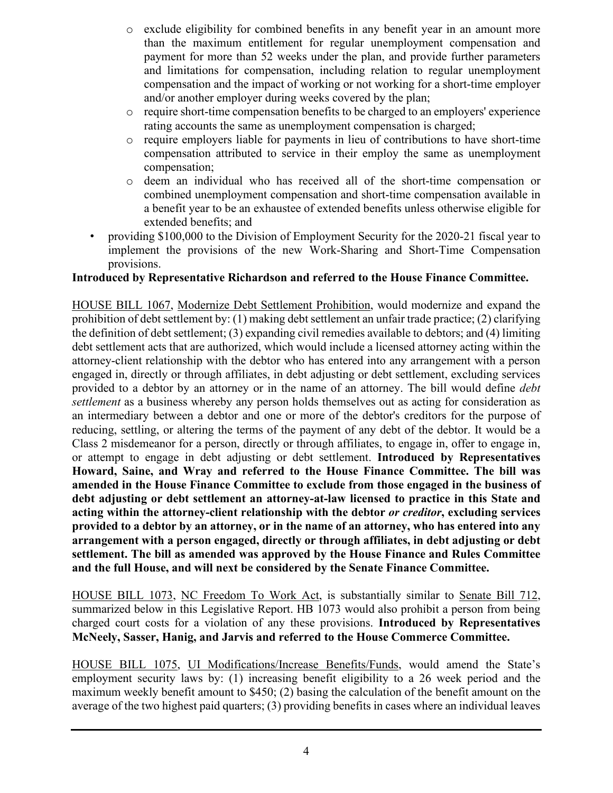- $\circ$  exclude eligibility for combined benefits in any benefit year in an amount more than the maximum entitlement for regular unemployment compensation and payment for more than 52 weeks under the plan, and provide further parameters and limitations for compensation, including relation to regular unemployment compensation and the impact of working or not working for a short-time employer and/or another employer during weeks covered by the plan;
- o require short-time compensation benefits to be charged to an employers' experience rating accounts the same as unemployment compensation is charged;
- $\circ$  require employers liable for payments in lieu of contributions to have short-time compensation attributed to service in their employ the same as unemployment compensation;
- o deem an individual who has received all of the short-time compensation or combined unemployment compensation and short-time compensation available in a benefit year to be an exhaustee of extended benefits unless otherwise eligible for extended benefits; and
- providing \$100,000 to the Division of Employment Security for the 2020-21 fiscal year to implement the provisions of the new Work-Sharing and Short-Time Compensation provisions.

#### **Introduced by Representative Richardson and referred to the House Finance Committee.**

HOUSE BILL 1067, Modernize Debt Settlement Prohibition, would modernize and expand the prohibition of debt settlement by: (1) making debt settlement an unfair trade practice; (2) clarifying the definition of debt settlement; (3) expanding civil remedies available to debtors; and (4) limiting debt settlement acts that are authorized, which would include a licensed attorney acting within the attorney-client relationship with the debtor who has entered into any arrangement with a person engaged in, directly or through affiliates, in debt adjusting or debt settlement, excluding services provided to a debtor by an attorney or in the name of an attorney. The bill would define *debt settlement* as a business whereby any person holds themselves out as acting for consideration as an intermediary between a debtor and one or more of the debtor's creditors for the purpose of reducing, settling, or altering the terms of the payment of any debt of the debtor. It would be a Class 2 misdemeanor for a person, directly or through affiliates, to engage in, offer to engage in, or attempt to engage in debt adjusting or debt settlement. **Introduced by Representatives Howard, Saine, and Wray and referred to the House Finance Committee. The bill was amended in the House Finance Committee to exclude from those engaged in the business of debt adjusting or debt settlement an attorney-at-law licensed to practice in this State and acting within the attorney-client relationship with the debtor** *or creditor***, excluding services provided to a debtor by an attorney, or in the name of an attorney, who has entered into any arrangement with a person engaged, directly or through affiliates, in debt adjusting or debt settlement. The bill as amended was approved by the House Finance and Rules Committee and the full House, and will next be considered by the Senate Finance Committee.**

HOUSE BILL 1073, NC Freedom To Work Act, is substantially similar to Senate Bill 712, summarized below in this Legislative Report. HB 1073 would also prohibit a person from being charged court costs for a violation of any these provisions. **Introduced by Representatives McNeely, Sasser, Hanig, and Jarvis and referred to the House Commerce Committee.**

HOUSE BILL 1075, UI Modifications/Increase Benefits/Funds, would amend the State's employment security laws by: (1) increasing benefit eligibility to a 26 week period and the maximum weekly benefit amount to \$450; (2) basing the calculation of the benefit amount on the average of the two highest paid quarters; (3) providing benefits in cases where an individual leaves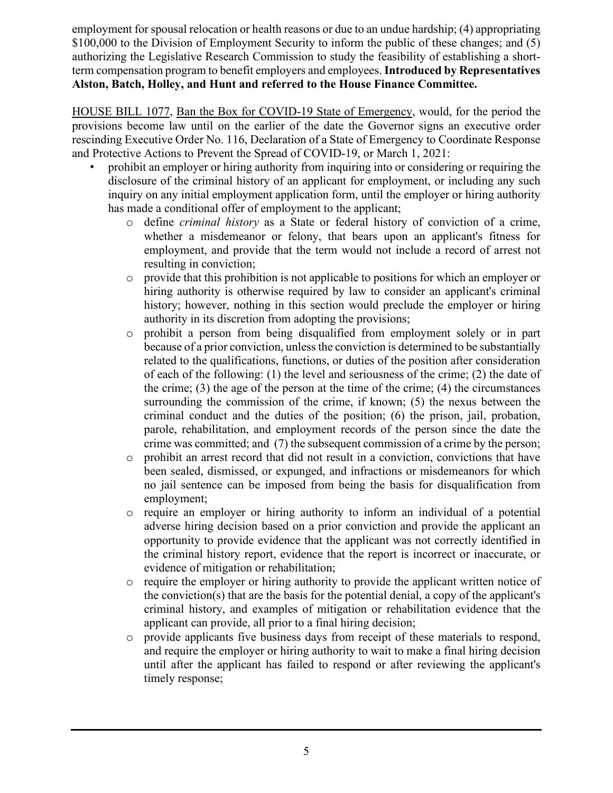employment for spousal relocation or health reasons or due to an undue hardship; (4) appropriating \$100,000 to the Division of Employment Security to inform the public of these changes; and (5) authorizing the Legislative Research Commission to study the feasibility of establishing a shortterm compensation program to benefit employers and employees. **Introduced by Representatives Alston, Batch, Holley, and Hunt and referred to the House Finance Committee.**

HOUSE BILL 1077, Ban the Box for COVID-19 State of Emergency, would, for the period the provisions become law until on the earlier of the date the Governor signs an executive order rescinding Executive Order No. 116, Declaration of a State of Emergency to Coordinate Response and Protective Actions to Prevent the Spread of COVID-19, or March 1, 2021:

- prohibit an employer or hiring authority from inquiring into or considering or requiring the disclosure of the criminal history of an applicant for employment, or including any such inquiry on any initial employment application form, until the employer or hiring authority has made a conditional offer of employment to the applicant;
	- o define *criminal history* as a State or federal history of conviction of a crime, whether a misdemeanor or felony, that bears upon an applicant's fitness for employment, and provide that the term would not include a record of arrest not resulting in conviction;
	- o provide that this prohibition is not applicable to positions for which an employer or hiring authority is otherwise required by law to consider an applicant's criminal history; however, nothing in this section would preclude the employer or hiring authority in its discretion from adopting the provisions;
	- o prohibit a person from being disqualified from employment solely or in part because of a prior conviction, unless the conviction is determined to be substantially related to the qualifications, functions, or duties of the position after consideration of each of the following: (1) the level and seriousness of the crime; (2) the date of the crime; (3) the age of the person at the time of the crime; (4) the circumstances surrounding the commission of the crime, if known; (5) the nexus between the criminal conduct and the duties of the position; (6) the prison, jail, probation, parole, rehabilitation, and employment records of the person since the date the crime was committed; and (7) the subsequent commission of a crime by the person;
	- o prohibit an arrest record that did not result in a conviction, convictions that have been sealed, dismissed, or expunged, and infractions or misdemeanors for which no jail sentence can be imposed from being the basis for disqualification from employment;
	- o require an employer or hiring authority to inform an individual of a potential adverse hiring decision based on a prior conviction and provide the applicant an opportunity to provide evidence that the applicant was not correctly identified in the criminal history report, evidence that the report is incorrect or inaccurate, or evidence of mitigation or rehabilitation;
	- o require the employer or hiring authority to provide the applicant written notice of the conviction(s) that are the basis for the potential denial, a copy of the applicant's criminal history, and examples of mitigation or rehabilitation evidence that the applicant can provide, all prior to a final hiring decision;
	- o provide applicants five business days from receipt of these materials to respond, and require the employer or hiring authority to wait to make a final hiring decision until after the applicant has failed to respond or after reviewing the applicant's timely response;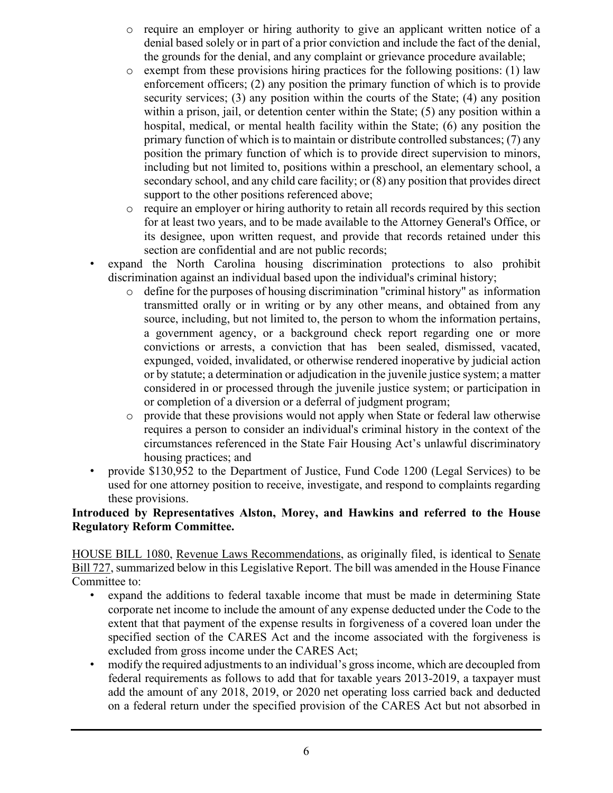- o require an employer or hiring authority to give an applicant written notice of a denial based solely or in part of a prior conviction and include the fact of the denial, the grounds for the denial, and any complaint or grievance procedure available;
- $\circ$  exempt from these provisions hiring practices for the following positions: (1) law enforcement officers; (2) any position the primary function of which is to provide security services; (3) any position within the courts of the State; (4) any position within a prison, jail, or detention center within the State; (5) any position within a hospital, medical, or mental health facility within the State; (6) any position the primary function of which is to maintain or distribute controlled substances; (7) any position the primary function of which is to provide direct supervision to minors, including but not limited to, positions within a preschool, an elementary school, a secondary school, and any child care facility; or (8) any position that provides direct support to the other positions referenced above;
- o require an employer or hiring authority to retain all records required by this section for at least two years, and to be made available to the Attorney General's Office, or its designee, upon written request, and provide that records retained under this section are confidential and are not public records;
- expand the North Carolina housing discrimination protections to also prohibit discrimination against an individual based upon the individual's criminal history;
	- o define for the purposes of housing discrimination "criminal history" as information transmitted orally or in writing or by any other means, and obtained from any source, including, but not limited to, the person to whom the information pertains, a government agency, or a background check report regarding one or more convictions or arrests, a conviction that has been sealed, dismissed, vacated, expunged, voided, invalidated, or otherwise rendered inoperative by judicial action or by statute; a determination or adjudication in the juvenile justice system; a matter considered in or processed through the juvenile justice system; or participation in or completion of a diversion or a deferral of judgment program;
	- o provide that these provisions would not apply when State or federal law otherwise requires a person to consider an individual's criminal history in the context of the circumstances referenced in the State Fair Housing Act's unlawful discriminatory housing practices; and
- provide \$130,952 to the Department of Justice, Fund Code 1200 (Legal Services) to be used for one attorney position to receive, investigate, and respond to complaints regarding these provisions.

#### **Introduced by Representatives Alston, Morey, and Hawkins and referred to the House Regulatory Reform Committee.**

HOUSE BILL 1080, Revenue Laws Recommendations, as originally filed, is identical to Senate Bill 727, summarized below in this Legislative Report. The bill was amended in the House Finance Committee to:

- expand the additions to federal taxable income that must be made in determining State corporate net income to include the amount of any expense deducted under the Code to the extent that that payment of the expense results in forgiveness of a covered loan under the specified section of the CARES Act and the income associated with the forgiveness is excluded from gross income under the CARES Act;
- modify the required adjustments to an individual's gross income, which are decoupled from federal requirements as follows to add that for taxable years 2013-2019, a taxpayer must add the amount of any 2018, 2019, or 2020 net operating loss carried back and deducted on a federal return under the specified provision of the CARES Act but not absorbed in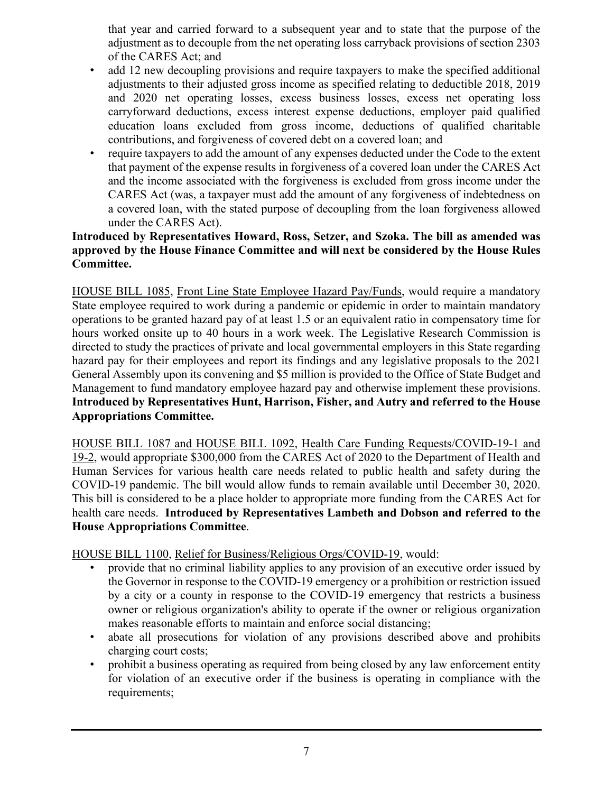that year and carried forward to a subsequent year and to state that the purpose of the adjustment as to decouple from the net operating loss carryback provisions of section 2303 of the CARES Act; and

- add 12 new decoupling provisions and require taxpayers to make the specified additional adjustments to their adjusted gross income as specified relating to deductible 2018, 2019 and 2020 net operating losses, excess business losses, excess net operating loss carryforward deductions, excess interest expense deductions, employer paid qualified education loans excluded from gross income, deductions of qualified charitable contributions, and forgiveness of covered debt on a covered loan; and
- require taxpayers to add the amount of any expenses deducted under the Code to the extent that payment of the expense results in forgiveness of a covered loan under the CARES Act and the income associated with the forgiveness is excluded from gross income under the CARES Act (was, a taxpayer must add the amount of any forgiveness of indebtedness on a covered loan, with the stated purpose of decoupling from the loan forgiveness allowed under the CARES Act).

#### **Introduced by Representatives Howard, Ross, Setzer, and Szoka. The bill as amended was approved by the House Finance Committee and will next be considered by the House Rules Committee.**

HOUSE BILL 1085, Front Line State Employee Hazard Pay/Funds, would require a mandatory State employee required to work during a pandemic or epidemic in order to maintain mandatory operations to be granted hazard pay of at least 1.5 or an equivalent ratio in compensatory time for hours worked onsite up to 40 hours in a work week. The Legislative Research Commission is directed to study the practices of private and local governmental employers in this State regarding hazard pay for their employees and report its findings and any legislative proposals to the 2021 General Assembly upon its convening and \$5 million is provided to the Office of State Budget and Management to fund mandatory employee hazard pay and otherwise implement these provisions. **Introduced by Representatives Hunt, Harrison, Fisher, and Autry and referred to the House Appropriations Committee.**

HOUSE BILL 1087 and HOUSE BILL 1092, Health Care Funding Requests/COVID-19-1 and 19-2, would appropriate \$300,000 from the CARES Act of 2020 to the Department of Health and Human Services for various health care needs related to public health and safety during the COVID-19 pandemic. The bill would allow funds to remain available until December 30, 2020. This bill is considered to be a place holder to appropriate more funding from the CARES Act for health care needs. **Introduced by Representatives Lambeth and Dobson and referred to the House Appropriations Committee**.

HOUSE BILL 1100, Relief for Business/Religious Orgs/COVID-19, would:

- provide that no criminal liability applies to any provision of an executive order issued by the Governor in response to the COVID-19 emergency or a prohibition or restriction issued by a city or a county in response to the COVID-19 emergency that restricts a business owner or religious organization's ability to operate if the owner or religious organization makes reasonable efforts to maintain and enforce social distancing;
- abate all prosecutions for violation of any provisions described above and prohibits charging court costs;
- prohibit a business operating as required from being closed by any law enforcement entity for violation of an executive order if the business is operating in compliance with the requirements;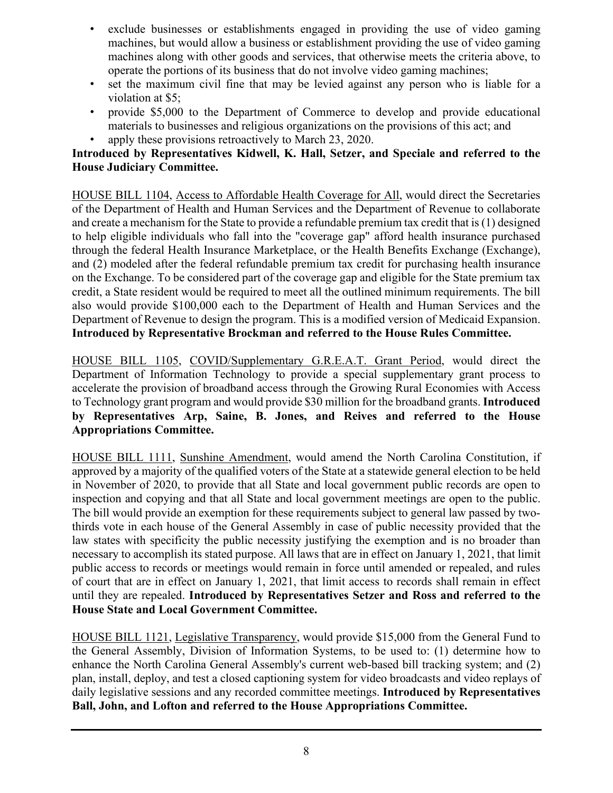- exclude businesses or establishments engaged in providing the use of video gaming machines, but would allow a business or establishment providing the use of video gaming machines along with other goods and services, that otherwise meets the criteria above, to operate the portions of its business that do not involve video gaming machines;
- set the maximum civil fine that may be levied against any person who is liable for a violation at \$5;
- provide \$5,000 to the Department of Commerce to develop and provide educational materials to businesses and religious organizations on the provisions of this act; and
- apply these provisions retroactively to March 23, 2020.

#### **Introduced by Representatives Kidwell, K. Hall, Setzer, and Speciale and referred to the House Judiciary Committee.**

HOUSE BILL 1104, Access to Affordable Health Coverage for All, would direct the Secretaries of the Department of Health and Human Services and the Department of Revenue to collaborate and create a mechanism for the State to provide a refundable premium tax credit that is (1) designed to help eligible individuals who fall into the "coverage gap" afford health insurance purchased through the federal Health Insurance Marketplace, or the Health Benefits Exchange (Exchange), and (2) modeled after the federal refundable premium tax credit for purchasing health insurance on the Exchange. To be considered part of the coverage gap and eligible for the State premium tax credit, a State resident would be required to meet all the outlined minimum requirements. The bill also would provide \$100,000 each to the Department of Health and Human Services and the Department of Revenue to design the program. This is a modified version of Medicaid Expansion. **Introduced by Representative Brockman and referred to the House Rules Committee.**

HOUSE BILL 1105, COVID/Supplementary G.R.E.A.T. Grant Period, would direct the Department of Information Technology to provide a special supplementary grant process to accelerate the provision of broadband access through the Growing Rural Economies with Access to Technology grant program and would provide \$30 million for the broadband grants. **Introduced by Representatives Arp, Saine, B. Jones, and Reives and referred to the House Appropriations Committee.**

HOUSE BILL 1111, Sunshine Amendment, would amend the North Carolina Constitution, if approved by a majority of the qualified voters of the State at a statewide general election to be held in November of 2020, to provide that all State and local government public records are open to inspection and copying and that all State and local government meetings are open to the public. The bill would provide an exemption for these requirements subject to general law passed by twothirds vote in each house of the General Assembly in case of public necessity provided that the law states with specificity the public necessity justifying the exemption and is no broader than necessary to accomplish its stated purpose. All laws that are in effect on January 1, 2021, that limit public access to records or meetings would remain in force until amended or repealed, and rules of court that are in effect on January 1, 2021, that limit access to records shall remain in effect until they are repealed. **Introduced by Representatives Setzer and Ross and referred to the House State and Local Government Committee.**

HOUSE BILL 1121, Legislative Transparency, would provide \$15,000 from the General Fund to the General Assembly, Division of Information Systems, to be used to: (1) determine how to enhance the North Carolina General Assembly's current web-based bill tracking system; and (2) plan, install, deploy, and test a closed captioning system for video broadcasts and video replays of daily legislative sessions and any recorded committee meetings. **Introduced by Representatives Ball, John, and Lofton and referred to the House Appropriations Committee.**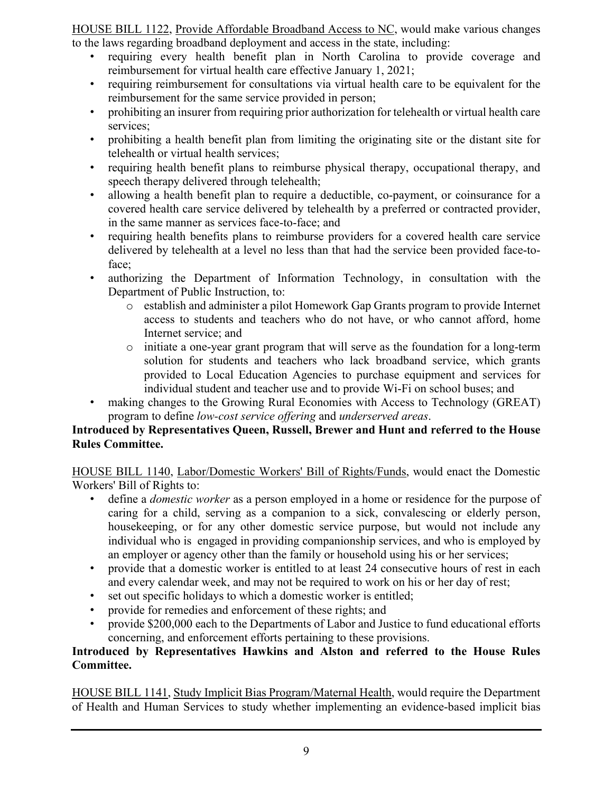HOUSE BILL 1122, Provide Affordable Broadband Access to NC, would make various changes to the laws regarding broadband deployment and access in the state, including:

- requiring every health benefit plan in North Carolina to provide coverage and reimbursement for virtual health care effective January 1, 2021;
- requiring reimbursement for consultations via virtual health care to be equivalent for the reimbursement for the same service provided in person;
- prohibiting an insurer from requiring prior authorization for telehealth or virtual health care services;
- prohibiting a health benefit plan from limiting the originating site or the distant site for telehealth or virtual health services;
- requiring health benefit plans to reimburse physical therapy, occupational therapy, and speech therapy delivered through telehealth;
- allowing a health benefit plan to require a deductible, co-payment, or coinsurance for a covered health care service delivered by telehealth by a preferred or contracted provider, in the same manner as services face-to-face; and
- requiring health benefits plans to reimburse providers for a covered health care service delivered by telehealth at a level no less than that had the service been provided face-toface;
- authorizing the Department of Information Technology, in consultation with the Department of Public Instruction, to:
	- o establish and administer a pilot Homework Gap Grants program to provide Internet access to students and teachers who do not have, or who cannot afford, home Internet service; and
	- o initiate a one-year grant program that will serve as the foundation for a long-term solution for students and teachers who lack broadband service, which grants provided to Local Education Agencies to purchase equipment and services for individual student and teacher use and to provide Wi-Fi on school buses; and
- making changes to the Growing Rural Economies with Access to Technology (GREAT) program to define *low-cost service offering* and *underserved areas*.

#### **Introduced by Representatives Queen, Russell, Brewer and Hunt and referred to the House Rules Committee.**

HOUSE BILL 1140, Labor/Domestic Workers' Bill of Rights/Funds, would enact the Domestic Workers' Bill of Rights to:

- define a *domestic worker* as a person employed in a home or residence for the purpose of caring for a child, serving as a companion to a sick, convalescing or elderly person, housekeeping, or for any other domestic service purpose, but would not include any individual who is engaged in providing companionship services, and who is employed by an employer or agency other than the family or household using his or her services;
- provide that a domestic worker is entitled to at least 24 consecutive hours of rest in each and every calendar week, and may not be required to work on his or her day of rest;
- set out specific holidays to which a domestic worker is entitled;
- provide for remedies and enforcement of these rights; and
- provide \$200,000 each to the Departments of Labor and Justice to fund educational efforts concerning, and enforcement efforts pertaining to these provisions.

#### **Introduced by Representatives Hawkins and Alston and referred to the House Rules Committee.**

HOUSE BILL 1141, Study Implicit Bias Program/Maternal Health, would require the Department of Health and Human Services to study whether implementing an evidence-based implicit bias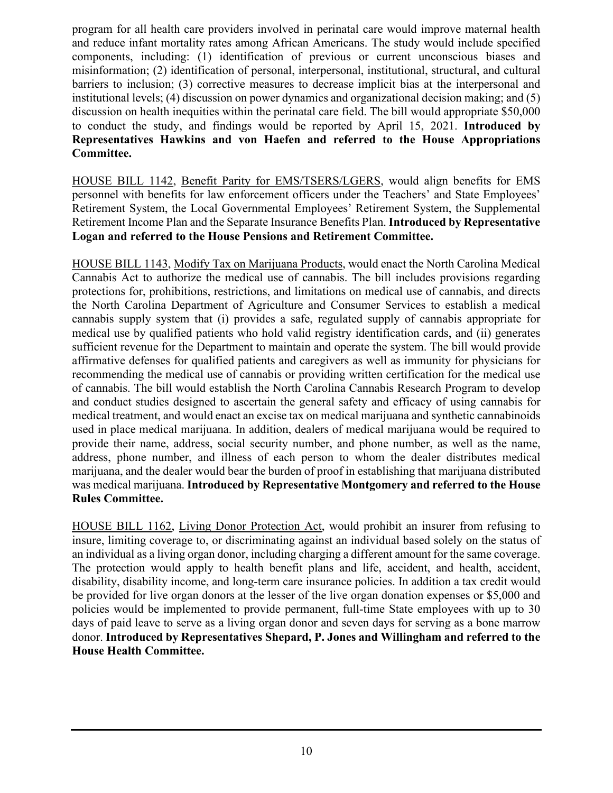program for all health care providers involved in perinatal care would improve maternal health and reduce infant mortality rates among African Americans. The study would include specified components, including: (1) identification of previous or current unconscious biases and misinformation; (2) identification of personal, interpersonal, institutional, structural, and cultural barriers to inclusion; (3) corrective measures to decrease implicit bias at the interpersonal and institutional levels; (4) discussion on power dynamics and organizational decision making; and (5) discussion on health inequities within the perinatal care field. The bill would appropriate \$50,000 to conduct the study, and findings would be reported by April 15, 2021. **Introduced by Representatives Hawkins and von Haefen and referred to the House Appropriations Committee.**

HOUSE BILL 1142, Benefit Parity for EMS/TSERS/LGERS, would align benefits for EMS personnel with benefits for law enforcement officers under the Teachers' and State Employees' Retirement System, the Local Governmental Employees' Retirement System, the Supplemental Retirement Income Plan and the Separate Insurance Benefits Plan. **Introduced by Representative Logan and referred to the House Pensions and Retirement Committee.**

HOUSE BILL 1143, Modify Tax on Marijuana Products, would enact the North Carolina Medical Cannabis Act to authorize the medical use of cannabis. The bill includes provisions regarding protections for, prohibitions, restrictions, and limitations on medical use of cannabis, and directs the North Carolina Department of Agriculture and Consumer Services to establish a medical cannabis supply system that (i) provides a safe, regulated supply of cannabis appropriate for medical use by qualified patients who hold valid registry identification cards, and (ii) generates sufficient revenue for the Department to maintain and operate the system. The bill would provide affirmative defenses for qualified patients and caregivers as well as immunity for physicians for recommending the medical use of cannabis or providing written certification for the medical use of cannabis. The bill would establish the North Carolina Cannabis Research Program to develop and conduct studies designed to ascertain the general safety and efficacy of using cannabis for medical treatment, and would enact an excise tax on medical marijuana and synthetic cannabinoids used in place medical marijuana. In addition, dealers of medical marijuana would be required to provide their name, address, social security number, and phone number, as well as the name, address, phone number, and illness of each person to whom the dealer distributes medical marijuana, and the dealer would bear the burden of proof in establishing that marijuana distributed was medical marijuana. **Introduced by Representative Montgomery and referred to the House Rules Committee.**

HOUSE BILL 1162, Living Donor Protection Act, would prohibit an insurer from refusing to insure, limiting coverage to, or discriminating against an individual based solely on the status of an individual as a living organ donor, including charging a different amount for the same coverage. The protection would apply to health benefit plans and life, accident, and health, accident, disability, disability income, and long-term care insurance policies. In addition a tax credit would be provided for live organ donors at the lesser of the live organ donation expenses or \$5,000 and policies would be implemented to provide permanent, full-time State employees with up to 30 days of paid leave to serve as a living organ donor and seven days for serving as a bone marrow donor. **Introduced by Representatives Shepard, P. Jones and Willingham and referred to the House Health Committee.**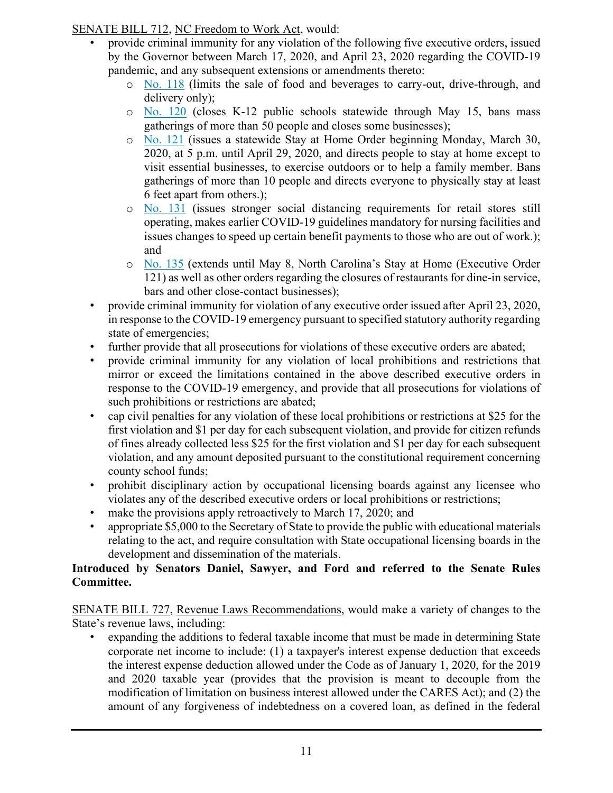#### SENATE BILL 712, NC Freedom to Work Act, would:

- provide criminal immunity for any violation of the following five executive orders, issued by the Governor between March 17, 2020, and April 23, 2020 regarding the COVID-19 pandemic, and any subsequent extensions or amendments thereto:
	- o [No. 118](https://files.nc.gov/governor/documents/files/EO118.pdf) (limits the sale of food and beverages to carry-out, drive-through, and delivery only);
	- o [No. 120](https://files.nc.gov/governor/documents/files/EO120.pdf) (closes K-12 public schools statewide through May 15, bans mass gatherings of more than 50 people and closes some businesses);
	- o [No. 121](https://files.nc.gov/governor/documents/files/EO121-Stay-at-Home-Order-3.pdf) (issues a statewide Stay at Home Order beginning Monday, March 30, 2020, at 5 p.m. until April 29, 2020, and directs people to stay at home except to visit essential businesses, to exercise outdoors or to help a family member. Bans gatherings of more than 10 people and directs everyone to physically stay at least 6 feet apart from others.);
	- o [No. 131](https://files.nc.gov/governor/documents/files/EO131-Retail-Long-Term-Care-Unemployment-Insurance.pdf) (issues stronger social distancing requirements for retail stores still operating, makes earlier COVID-19 guidelines mandatory for nursing facilities and issues changes to speed up certain benefit payments to those who are out of work.); and
	- o [No. 135](https://files.nc.gov/governor/documents/files/EO135-Extensions.pdf) (extends until May 8, North Carolina's Stay at Home (Executive Order 121) as well as other orders regarding the closures of restaurants for dine-in service, bars and other close-contact businesses);
- provide criminal immunity for violation of any executive order issued after April 23, 2020, in response to the COVID-19 emergency pursuant to specified statutory authority regarding state of emergencies;
- further provide that all prosecutions for violations of these executive orders are abated;
- provide criminal immunity for any violation of local prohibitions and restrictions that mirror or exceed the limitations contained in the above described executive orders in response to the COVID-19 emergency, and provide that all prosecutions for violations of such prohibitions or restrictions are abated;
- cap civil penalties for any violation of these local prohibitions or restrictions at \$25 for the first violation and \$1 per day for each subsequent violation, and provide for citizen refunds of fines already collected less \$25 for the first violation and \$1 per day for each subsequent violation, and any amount deposited pursuant to the constitutional requirement concerning county school funds;
- prohibit disciplinary action by occupational licensing boards against any licensee who violates any of the described executive orders or local prohibitions or restrictions;
- make the provisions apply retroactively to March 17, 2020; and
- appropriate \$5,000 to the Secretary of State to provide the public with educational materials relating to the act, and require consultation with State occupational licensing boards in the development and dissemination of the materials.

#### **Introduced by Senators Daniel, Sawyer, and Ford and referred to the Senate Rules Committee.**

SENATE BILL 727, Revenue Laws Recommendations, would make a variety of changes to the State's revenue laws, including:

• expanding the additions to federal taxable income that must be made in determining State corporate net income to include: (1) a taxpayer's interest expense deduction that exceeds the interest expense deduction allowed under the Code as of January 1, 2020, for the 2019 and 2020 taxable year (provides that the provision is meant to decouple from the modification of limitation on business interest allowed under the CARES Act); and (2) the amount of any forgiveness of indebtedness on a covered loan, as defined in the federal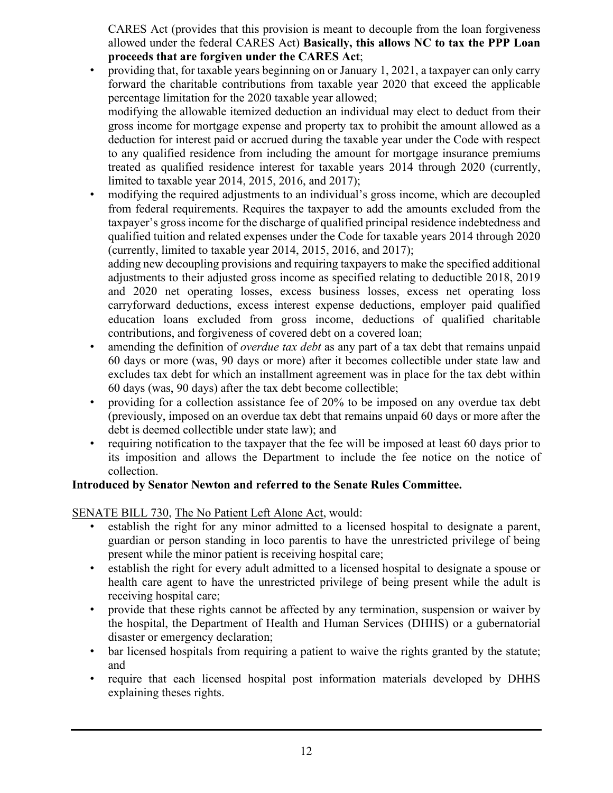CARES Act (provides that this provision is meant to decouple from the loan forgiveness allowed under the federal CARES Act) **Basically, this allows NC to tax the PPP Loan proceeds that are forgiven under the CARES Act**;

• providing that, for taxable years beginning on or January 1, 2021, a taxpayer can only carry forward the charitable contributions from taxable year 2020 that exceed the applicable percentage limitation for the 2020 taxable year allowed;

modifying the allowable itemized deduction an individual may elect to deduct from their gross income for mortgage expense and property tax to prohibit the amount allowed as a deduction for interest paid or accrued during the taxable year under the Code with respect to any qualified residence from including the amount for mortgage insurance premiums treated as qualified residence interest for taxable years 2014 through 2020 (currently, limited to taxable year 2014, 2015, 2016, and 2017);

• modifying the required adjustments to an individual's gross income, which are decoupled from federal requirements. Requires the taxpayer to add the amounts excluded from the taxpayer's gross income for the discharge of qualified principal residence indebtedness and qualified tuition and related expenses under the Code for taxable years 2014 through 2020 (currently, limited to taxable year 2014, 2015, 2016, and 2017);

adding new decoupling provisions and requiring taxpayers to make the specified additional adjustments to their adjusted gross income as specified relating to deductible 2018, 2019 and 2020 net operating losses, excess business losses, excess net operating loss carryforward deductions, excess interest expense deductions, employer paid qualified education loans excluded from gross income, deductions of qualified charitable contributions, and forgiveness of covered debt on a covered loan;

- amending the definition of *overdue tax debt* as any part of a tax debt that remains unpaid 60 days or more (was, 90 days or more) after it becomes collectible under state law and excludes tax debt for which an installment agreement was in place for the tax debt within 60 days (was, 90 days) after the tax debt become collectible;
- providing for a collection assistance fee of 20% to be imposed on any overdue tax debt (previously, imposed on an overdue tax debt that remains unpaid 60 days or more after the debt is deemed collectible under state law); and
- requiring notification to the taxpayer that the fee will be imposed at least 60 days prior to its imposition and allows the Department to include the fee notice on the notice of collection.

#### **Introduced by Senator Newton and referred to the Senate Rules Committee.**

SENATE BILL 730, The No Patient Left Alone Act, would:

- establish the right for any minor admitted to a licensed hospital to designate a parent, guardian or person standing in loco parentis to have the unrestricted privilege of being present while the minor patient is receiving hospital care;
- establish the right for every adult admitted to a licensed hospital to designate a spouse or health care agent to have the unrestricted privilege of being present while the adult is receiving hospital care;
- provide that these rights cannot be affected by any termination, suspension or waiver by the hospital, the Department of Health and Human Services (DHHS) or a gubernatorial disaster or emergency declaration;
- bar licensed hospitals from requiring a patient to waive the rights granted by the statute; and
- require that each licensed hospital post information materials developed by DHHS explaining theses rights.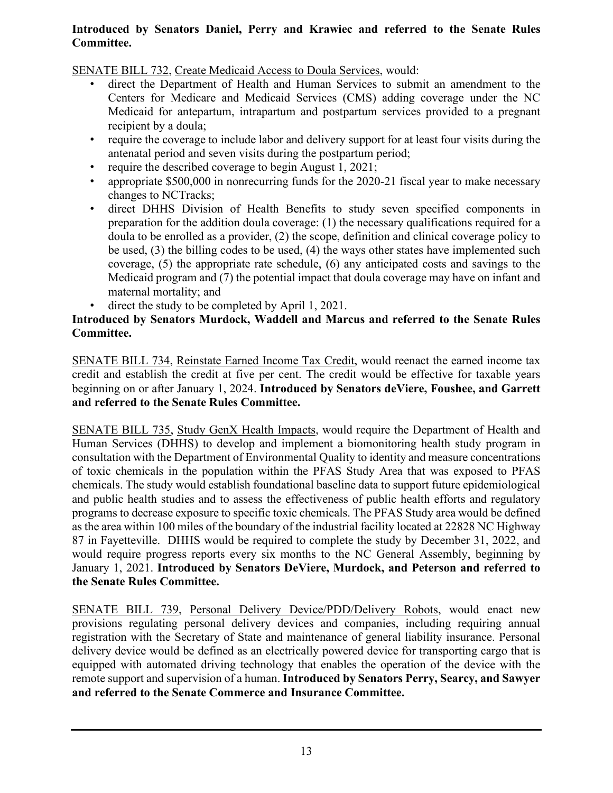#### **Introduced by Senators Daniel, Perry and Krawiec and referred to the Senate Rules Committee.**

SENATE BILL 732, Create Medicaid Access to Doula Services, would:

- direct the Department of Health and Human Services to submit an amendment to the Centers for Medicare and Medicaid Services (CMS) adding coverage under the NC Medicaid for antepartum, intrapartum and postpartum services provided to a pregnant recipient by a doula;
- require the coverage to include labor and delivery support for at least four visits during the antenatal period and seven visits during the postpartum period;
- require the described coverage to begin August 1, 2021;
- appropriate \$500,000 in nonrecurring funds for the 2020-21 fiscal year to make necessary changes to NCTracks;
- direct DHHS Division of Health Benefits to study seven specified components in preparation for the addition doula coverage: (1) the necessary qualifications required for a doula to be enrolled as a provider, (2) the scope, definition and clinical coverage policy to be used, (3) the billing codes to be used, (4) the ways other states have implemented such coverage, (5) the appropriate rate schedule, (6) any anticipated costs and savings to the Medicaid program and (7) the potential impact that doula coverage may have on infant and maternal mortality; and
- direct the study to be completed by April 1, 2021.

#### **Introduced by Senators Murdock, Waddell and Marcus and referred to the Senate Rules Committee.**

SENATE BILL 734, Reinstate Earned Income Tax Credit, would reenact the earned income tax credit and establish the credit at five per cent. The credit would be effective for taxable years beginning on or after January 1, 2024. **Introduced by Senators deViere, Foushee, and Garrett and referred to the Senate Rules Committee.**

SENATE BILL 735, Study GenX Health Impacts, would require the Department of Health and Human Services (DHHS) to develop and implement a biomonitoring health study program in consultation with the Department of Environmental Quality to identity and measure concentrations of toxic chemicals in the population within the PFAS Study Area that was exposed to PFAS chemicals. The study would establish foundational baseline data to support future epidemiological and public health studies and to assess the effectiveness of public health efforts and regulatory programs to decrease exposure to specific toxic chemicals. The PFAS Study area would be defined as the area within 100 miles of the boundary of the industrial facility located at 22828 NC Highway 87 in Fayetteville. DHHS would be required to complete the study by December 31, 2022, and would require progress reports every six months to the NC General Assembly, beginning by January 1, 2021. **Introduced by Senators DeViere, Murdock, and Peterson and referred to the Senate Rules Committee.**

SENATE BILL 739, Personal Delivery Device/PDD/Delivery Robots, would enact new provisions regulating personal delivery devices and companies, including requiring annual registration with the Secretary of State and maintenance of general liability insurance. Personal delivery device would be defined as an electrically powered device for transporting cargo that is equipped with automated driving technology that enables the operation of the device with the remote support and supervision of a human. **Introduced by Senators Perry, Searcy, and Sawyer and referred to the Senate Commerce and Insurance Committee.**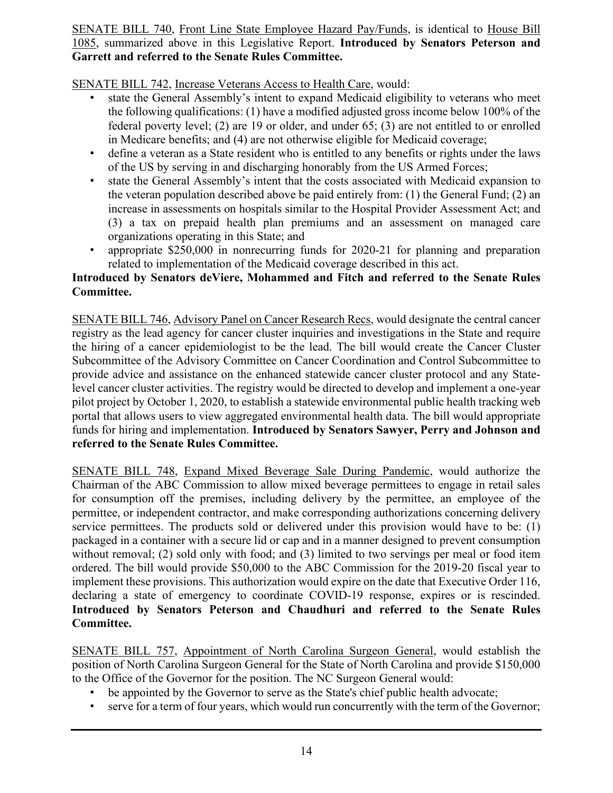#### SENATE BILL 740, Front Line State Employee Hazard Pay/Funds, is identical to House Bill 1085, summarized above in this Legislative Report. **Introduced by Senators Peterson and Garrett and referred to the Senate Rules Committee.**

SENATE BILL 742, Increase Veterans Access to Health Care, would:

- state the General Assembly's intent to expand Medicaid eligibility to veterans who meet the following qualifications: (1) have a modified adjusted gross income below 100% of the federal poverty level; (2) are 19 or older, and under 65; (3) are not entitled to or enrolled in Medicare benefits; and (4) are not otherwise eligible for Medicaid coverage;
- define a veteran as a State resident who is entitled to any benefits or rights under the laws of the US by serving in and discharging honorably from the US Armed Forces;
- state the General Assembly's intent that the costs associated with Medicaid expansion to the veteran population described above be paid entirely from: (1) the General Fund; (2) an increase in assessments on hospitals similar to the Hospital Provider Assessment Act; and (3) a tax on prepaid health plan premiums and an assessment on managed care organizations operating in this State; and
- appropriate \$250,000 in nonrecurring funds for 2020-21 for planning and preparation related to implementation of the Medicaid coverage described in this act.

#### **Introduced by Senators deViere, Mohammed and Fitch and referred to the Senate Rules Committee.**

SENATE BILL 746, Advisory Panel on Cancer Research Recs, would designate the central cancer registry as the lead agency for cancer cluster inquiries and investigations in the State and require the hiring of a cancer epidemiologist to be the lead. The bill would create the Cancer Cluster Subcommittee of the Advisory Committee on Cancer Coordination and Control Subcommittee to provide advice and assistance on the enhanced statewide cancer cluster protocol and any Statelevel cancer cluster activities. The registry would be directed to develop and implement a one-year pilot project by October 1, 2020, to establish a statewide environmental public health tracking web portal that allows users to view aggregated environmental health data. The bill would appropriate funds for hiring and implementation. **Introduced by Senators Sawyer, Perry and Johnson and referred to the Senate Rules Committee.**

SENATE BILL 748, Expand Mixed Beverage Sale During Pandemic, would authorize the Chairman of the ABC Commission to allow mixed beverage permittees to engage in retail sales for consumption off the premises, including delivery by the permittee, an employee of the permittee, or independent contractor, and make corresponding authorizations concerning delivery service permittees. The products sold or delivered under this provision would have to be: (1) packaged in a container with a secure lid or cap and in a manner designed to prevent consumption without removal; (2) sold only with food; and (3) limited to two servings per meal or food item ordered. The bill would provide \$50,000 to the ABC Commission for the 2019-20 fiscal year to implement these provisions. This authorization would expire on the date that Executive Order 116, declaring a state of emergency to coordinate COVID-19 response, expires or is rescinded. **Introduced by Senators Peterson and Chaudhuri and referred to the Senate Rules Committee.**

SENATE BILL 757, Appointment of North Carolina Surgeon General, would establish the position of North Carolina Surgeon General for the State of North Carolina and provide \$150,000 to the Office of the Governor for the position. The NC Surgeon General would:

- be appointed by the Governor to serve as the State's chief public health advocate;
- serve for a term of four years, which would run concurrently with the term of the Governor;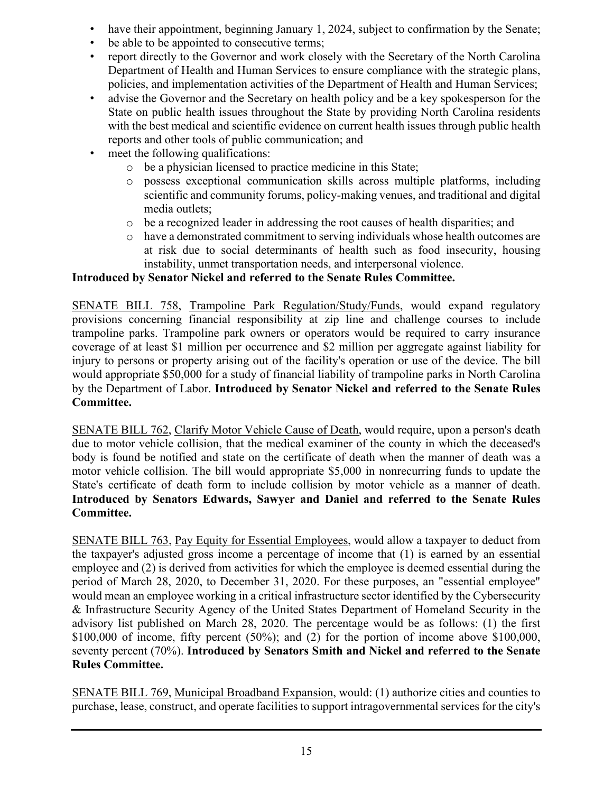- have their appointment, beginning January 1, 2024, subject to confirmation by the Senate;
- be able to be appointed to consecutive terms;
- report directly to the Governor and work closely with the Secretary of the North Carolina Department of Health and Human Services to ensure compliance with the strategic plans, policies, and implementation activities of the Department of Health and Human Services;
- advise the Governor and the Secretary on health policy and be a key spokesperson for the State on public health issues throughout the State by providing North Carolina residents with the best medical and scientific evidence on current health issues through public health reports and other tools of public communication; and
- meet the following qualifications:
	- o be a physician licensed to practice medicine in this State;
	- o possess exceptional communication skills across multiple platforms, including scientific and community forums, policy-making venues, and traditional and digital media outlets;
	- o be a recognized leader in addressing the root causes of health disparities; and
	- o have a demonstrated commitment to serving individuals whose health outcomes are at risk due to social determinants of health such as food insecurity, housing instability, unmet transportation needs, and interpersonal violence.

### **Introduced by Senator Nickel and referred to the Senate Rules Committee.**

SENATE BILL 758, Trampoline Park Regulation/Study/Funds, would expand regulatory provisions concerning financial responsibility at zip line and challenge courses to include trampoline parks. Trampoline park owners or operators would be required to carry insurance coverage of at least \$1 million per occurrence and \$2 million per aggregate against liability for injury to persons or property arising out of the facility's operation or use of the device. The bill would appropriate \$50,000 for a study of financial liability of trampoline parks in North Carolina by the Department of Labor. **Introduced by Senator Nickel and referred to the Senate Rules Committee.**

SENATE BILL 762, Clarify Motor Vehicle Cause of Death, would require, upon a person's death due to motor vehicle collision, that the medical examiner of the county in which the deceased's body is found be notified and state on the certificate of death when the manner of death was a motor vehicle collision. The bill would appropriate \$5,000 in nonrecurring funds to update the State's certificate of death form to include collision by motor vehicle as a manner of death. **Introduced by Senators Edwards, Sawyer and Daniel and referred to the Senate Rules Committee.**

SENATE BILL 763, Pay Equity for Essential Employees, would allow a taxpayer to deduct from the taxpayer's adjusted gross income a percentage of income that (1) is earned by an essential employee and (2) is derived from activities for which the employee is deemed essential during the period of March 28, 2020, to December 31, 2020. For these purposes, an "essential employee" would mean an employee working in a critical infrastructure sector identified by the Cybersecurity & Infrastructure Security Agency of the United States Department of Homeland Security in the advisory list published on March 28, 2020. The percentage would be as follows: (1) the first  $$100,000$  of income, fifty percent (50%); and (2) for the portion of income above  $$100,000$ , seventy percent (70%). **Introduced by Senators Smith and Nickel and referred to the Senate Rules Committee.**

SENATE BILL 769, Municipal Broadband Expansion, would: (1) authorize cities and counties to purchase, lease, construct, and operate facilities to support intragovernmental services for the city's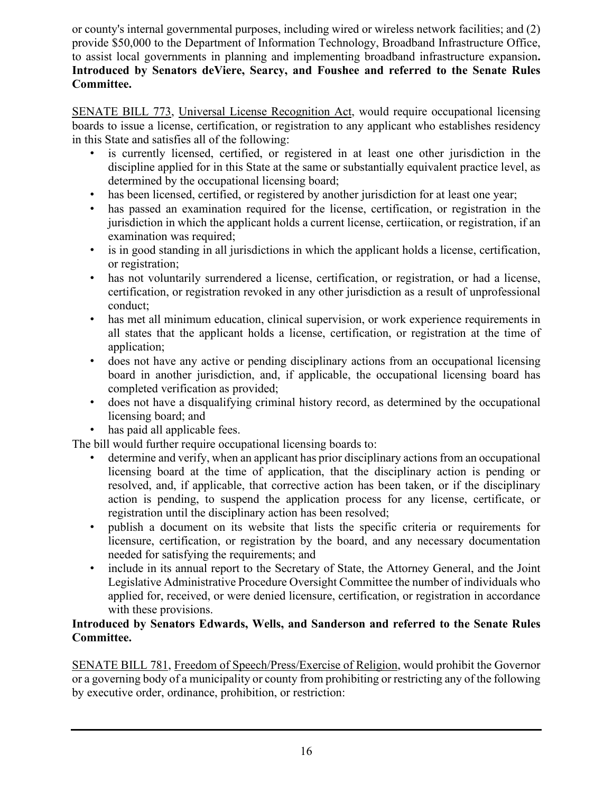or county's internal governmental purposes, including wired or wireless network facilities; and (2) provide \$50,000 to the Department of Information Technology, Broadband Infrastructure Office, to assist local governments in planning and implementing broadband infrastructure expansion**. Introduced by Senators deViere, Searcy, and Foushee and referred to the Senate Rules Committee.**

SENATE BILL 773, Universal License Recognition Act, would require occupational licensing boards to issue a license, certification, or registration to any applicant who establishes residency in this State and satisfies all of the following:

- is currently licensed, certified, or registered in at least one other jurisdiction in the discipline applied for in this State at the same or substantially equivalent practice level, as determined by the occupational licensing board;
- has been licensed, certified, or registered by another jurisdiction for at least one year;
- has passed an examination required for the license, certification, or registration in the jurisdiction in which the applicant holds a current license, certiication, or registration, if an examination was required;
- is in good standing in all jurisdictions in which the applicant holds a license, certification, or registration;
- has not voluntarily surrendered a license, certification, or registration, or had a license, certification, or registration revoked in any other jurisdiction as a result of unprofessional conduct;
- has met all minimum education, clinical supervision, or work experience requirements in all states that the applicant holds a license, certification, or registration at the time of application;
- does not have any active or pending disciplinary actions from an occupational licensing board in another jurisdiction, and, if applicable, the occupational licensing board has completed verification as provided;
- does not have a disqualifying criminal history record, as determined by the occupational licensing board; and
- has paid all applicable fees.

The bill would further require occupational licensing boards to:

- determine and verify, when an applicant has prior disciplinary actions from an occupational licensing board at the time of application, that the disciplinary action is pending or resolved, and, if applicable, that corrective action has been taken, or if the disciplinary action is pending, to suspend the application process for any license, certificate, or registration until the disciplinary action has been resolved;
- publish a document on its website that lists the specific criteria or requirements for licensure, certification, or registration by the board, and any necessary documentation needed for satisfying the requirements; and
- include in its annual report to the Secretary of State, the Attorney General, and the Joint Legislative Administrative Procedure Oversight Committee the number of individuals who applied for, received, or were denied licensure, certification, or registration in accordance with these provisions.

#### **Introduced by Senators Edwards, Wells, and Sanderson and referred to the Senate Rules Committee.**

SENATE BILL 781, Freedom of Speech/Press/Exercise of Religion, would prohibit the Governor or a governing body of a municipality or county from prohibiting or restricting any of the following by executive order, ordinance, prohibition, or restriction: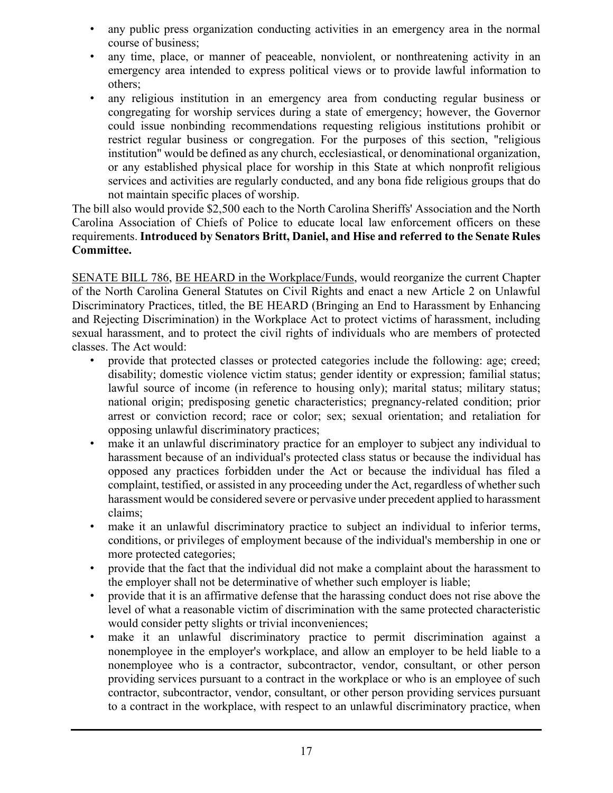- any public press organization conducting activities in an emergency area in the normal course of business;
- any time, place, or manner of peaceable, nonviolent, or nonthreatening activity in an emergency area intended to express political views or to provide lawful information to others;
- any religious institution in an emergency area from conducting regular business or congregating for worship services during a state of emergency; however, the Governor could issue nonbinding recommendations requesting religious institutions prohibit or restrict regular business or congregation. For the purposes of this section, "religious institution" would be defined as any church, ecclesiastical, or denominational organization, or any established physical place for worship in this State at which nonprofit religious services and activities are regularly conducted, and any bona fide religious groups that do not maintain specific places of worship.

The bill also would provide \$2,500 each to the North Carolina Sheriffs' Association and the North Carolina Association of Chiefs of Police to educate local law enforcement officers on these requirements. **Introduced by Senators Britt, Daniel, and Hise and referred to the Senate Rules Committee.**

SENATE BILL 786, BE HEARD in the Workplace/Funds, would reorganize the current Chapter of the North Carolina General Statutes on Civil Rights and enact a new Article 2 on Unlawful Discriminatory Practices, titled, the BE HEARD (Bringing an End to Harassment by Enhancing and Rejecting Discrimination) in the Workplace Act to protect victims of harassment, including sexual harassment, and to protect the civil rights of individuals who are members of protected classes. The Act would:

- provide that protected classes or protected categories include the following: age; creed; disability; domestic violence victim status; gender identity or expression; familial status; lawful source of income (in reference to housing only); marital status; military status; national origin; predisposing genetic characteristics; pregnancy-related condition; prior arrest or conviction record; race or color; sex; sexual orientation; and retaliation for opposing unlawful discriminatory practices;
- make it an unlawful discriminatory practice for an employer to subject any individual to harassment because of an individual's protected class status or because the individual has opposed any practices forbidden under the Act or because the individual has filed a complaint, testified, or assisted in any proceeding under the Act, regardless of whether such harassment would be considered severe or pervasive under precedent applied to harassment claims;
- make it an unlawful discriminatory practice to subject an individual to inferior terms, conditions, or privileges of employment because of the individual's membership in one or more protected categories;
- provide that the fact that the individual did not make a complaint about the harassment to the employer shall not be determinative of whether such employer is liable;
- provide that it is an affirmative defense that the harassing conduct does not rise above the level of what a reasonable victim of discrimination with the same protected characteristic would consider petty slights or trivial inconveniences;
- make it an unlawful discriminatory practice to permit discrimination against a nonemployee in the employer's workplace, and allow an employer to be held liable to a nonemployee who is a contractor, subcontractor, vendor, consultant, or other person providing services pursuant to a contract in the workplace or who is an employee of such contractor, subcontractor, vendor, consultant, or other person providing services pursuant to a contract in the workplace, with respect to an unlawful discriminatory practice, when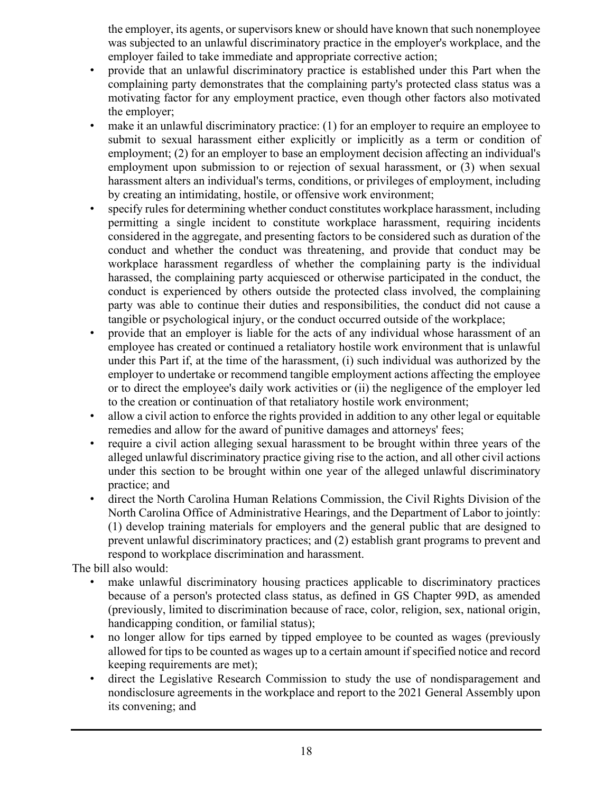the employer, its agents, or supervisors knew or should have known that such nonemployee was subjected to an unlawful discriminatory practice in the employer's workplace, and the employer failed to take immediate and appropriate corrective action;

- provide that an unlawful discriminatory practice is established under this Part when the complaining party demonstrates that the complaining party's protected class status was a motivating factor for any employment practice, even though other factors also motivated the employer;
- make it an unlawful discriminatory practice: (1) for an employer to require an employee to submit to sexual harassment either explicitly or implicitly as a term or condition of employment; (2) for an employer to base an employment decision affecting an individual's employment upon submission to or rejection of sexual harassment, or (3) when sexual harassment alters an individual's terms, conditions, or privileges of employment, including by creating an intimidating, hostile, or offensive work environment;
- specify rules for determining whether conduct constitutes workplace harassment, including permitting a single incident to constitute workplace harassment, requiring incidents considered in the aggregate, and presenting factors to be considered such as duration of the conduct and whether the conduct was threatening, and provide that conduct may be workplace harassment regardless of whether the complaining party is the individual harassed, the complaining party acquiesced or otherwise participated in the conduct, the conduct is experienced by others outside the protected class involved, the complaining party was able to continue their duties and responsibilities, the conduct did not cause a tangible or psychological injury, or the conduct occurred outside of the workplace;
- provide that an employer is liable for the acts of any individual whose harassment of an employee has created or continued a retaliatory hostile work environment that is unlawful under this Part if, at the time of the harassment, (i) such individual was authorized by the employer to undertake or recommend tangible employment actions affecting the employee or to direct the employee's daily work activities or (ii) the negligence of the employer led to the creation or continuation of that retaliatory hostile work environment;
- allow a civil action to enforce the rights provided in addition to any other legal or equitable remedies and allow for the award of punitive damages and attorneys' fees;
- require a civil action alleging sexual harassment to be brought within three years of the alleged unlawful discriminatory practice giving rise to the action, and all other civil actions under this section to be brought within one year of the alleged unlawful discriminatory practice; and
- direct the North Carolina Human Relations Commission, the Civil Rights Division of the North Carolina Office of Administrative Hearings, and the Department of Labor to jointly: (1) develop training materials for employers and the general public that are designed to prevent unlawful discriminatory practices; and (2) establish grant programs to prevent and respond to workplace discrimination and harassment.

The bill also would:

- make unlawful discriminatory housing practices applicable to discriminatory practices because of a person's protected class status, as defined in GS Chapter 99D, as amended (previously, limited to discrimination because of race, color, religion, sex, national origin, handicapping condition, or familial status);
- no longer allow for tips earned by tipped employee to be counted as wages (previously allowed for tips to be counted as wages up to a certain amount if specified notice and record keeping requirements are met);
- direct the Legislative Research Commission to study the use of nondisparagement and nondisclosure agreements in the workplace and report to the 2021 General Assembly upon its convening; and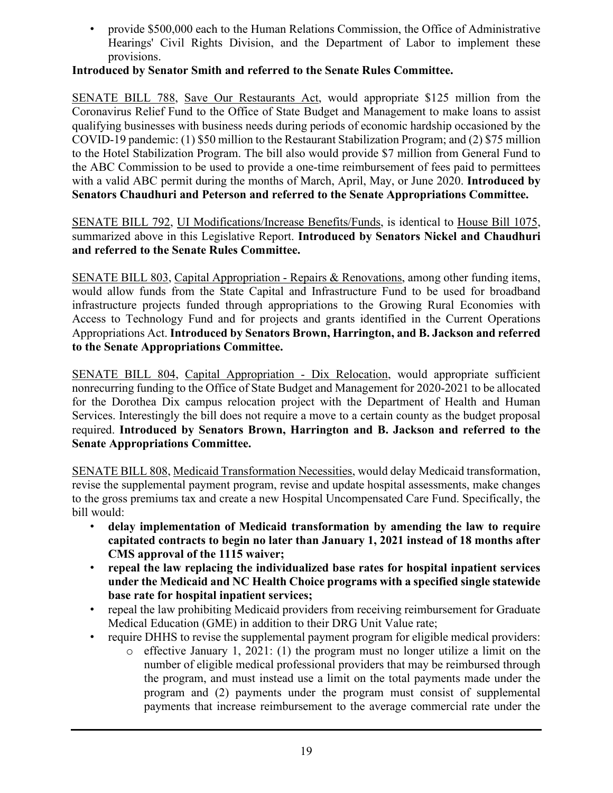• provide \$500,000 each to the Human Relations Commission, the Office of Administrative Hearings' Civil Rights Division, and the Department of Labor to implement these provisions.

#### **Introduced by Senator Smith and referred to the Senate Rules Committee.**

SENATE BILL 788, Save Our Restaurants Act, would appropriate \$125 million from the Coronavirus Relief Fund to the Office of State Budget and Management to make loans to assist qualifying businesses with business needs during periods of economic hardship occasioned by the COVID-19 pandemic: (1) \$50 million to the Restaurant Stabilization Program; and (2) \$75 million to the Hotel Stabilization Program. The bill also would provide \$7 million from General Fund to the ABC Commission to be used to provide a one-time reimbursement of fees paid to permittees with a valid ABC permit during the months of March, April, May, or June 2020. **Introduced by Senators Chaudhuri and Peterson and referred to the Senate Appropriations Committee.**

SENATE BILL 792, UI Modifications/Increase Benefits/Funds, is identical to House Bill 1075, summarized above in this Legislative Report. **Introduced by Senators Nickel and Chaudhuri and referred to the Senate Rules Committee.**

SENATE BILL 803, Capital Appropriation - Repairs & Renovations, among other funding items, would allow funds from the State Capital and Infrastructure Fund to be used for broadband infrastructure projects funded through appropriations to the Growing Rural Economies with Access to Technology Fund and for projects and grants identified in the Current Operations Appropriations Act. **Introduced by Senators Brown, Harrington, and B. Jackson and referred to the Senate Appropriations Committee.**

SENATE BILL 804, Capital Appropriation - Dix Relocation, would appropriate sufficient nonrecurring funding to the Office of State Budget and Management for 2020-2021 to be allocated for the Dorothea Dix campus relocation project with the Department of Health and Human Services. Interestingly the bill does not require a move to a certain county as the budget proposal required. **Introduced by Senators Brown, Harrington and B. Jackson and referred to the Senate Appropriations Committee.**

SENATE BILL 808, Medicaid Transformation Necessities, would delay Medicaid transformation, revise the supplemental payment program, revise and update hospital assessments, make changes to the gross premiums tax and create a new Hospital Uncompensated Care Fund. Specifically, the bill would:

- **delay implementation of Medicaid transformation by amending the law to require capitated contracts to begin no later than January 1, 2021 instead of 18 months after CMS approval of the 1115 waiver;**
- **repeal the law replacing the individualized base rates for hospital inpatient services under the Medicaid and NC Health Choice programs with a specified single statewide base rate for hospital inpatient services;**
- repeal the law prohibiting Medicaid providers from receiving reimbursement for Graduate Medical Education (GME) in addition to their DRG Unit Value rate;
- require DHHS to revise the supplemental payment program for eligible medical providers:
	- o effective January 1, 2021: (1) the program must no longer utilize a limit on the number of eligible medical professional providers that may be reimbursed through the program, and must instead use a limit on the total payments made under the program and (2) payments under the program must consist of supplemental payments that increase reimbursement to the average commercial rate under the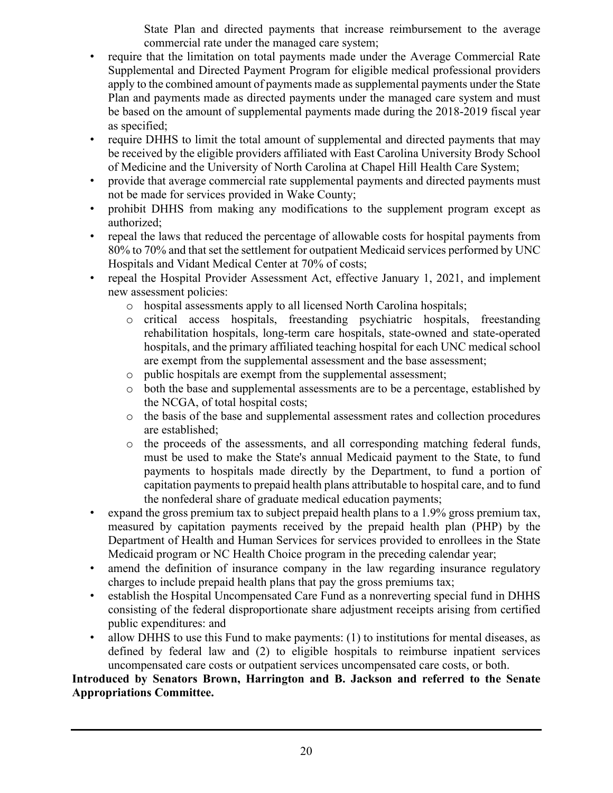State Plan and directed payments that increase reimbursement to the average commercial rate under the managed care system;

- require that the limitation on total payments made under the Average Commercial Rate Supplemental and Directed Payment Program for eligible medical professional providers apply to the combined amount of payments made as supplemental payments under the State Plan and payments made as directed payments under the managed care system and must be based on the amount of supplemental payments made during the 2018-2019 fiscal year as specified;
- require DHHS to limit the total amount of supplemental and directed payments that may be received by the eligible providers affiliated with East Carolina University Brody School of Medicine and the University of North Carolina at Chapel Hill Health Care System;
- provide that average commercial rate supplemental payments and directed payments must not be made for services provided in Wake County;
- prohibit DHHS from making any modifications to the supplement program except as authorized;
- repeal the laws that reduced the percentage of allowable costs for hospital payments from 80% to 70% and that set the settlement for outpatient Medicaid services performed by UNC Hospitals and Vidant Medical Center at 70% of costs;
- repeal the Hospital Provider Assessment Act, effective January 1, 2021, and implement new assessment policies:
	- o hospital assessments apply to all licensed North Carolina hospitals;
	- o critical access hospitals, freestanding psychiatric hospitals, freestanding rehabilitation hospitals, long-term care hospitals, state-owned and state-operated hospitals, and the primary affiliated teaching hospital for each UNC medical school are exempt from the supplemental assessment and the base assessment;
	- o public hospitals are exempt from the supplemental assessment;
	- o both the base and supplemental assessments are to be a percentage, established by the NCGA, of total hospital costs;
	- o the basis of the base and supplemental assessment rates and collection procedures are established;
	- o the proceeds of the assessments, and all corresponding matching federal funds, must be used to make the State's annual Medicaid payment to the State, to fund payments to hospitals made directly by the Department, to fund a portion of capitation payments to prepaid health plans attributable to hospital care, and to fund the nonfederal share of graduate medical education payments;
- expand the gross premium tax to subject prepaid health plans to a 1.9% gross premium tax, measured by capitation payments received by the prepaid health plan (PHP) by the Department of Health and Human Services for services provided to enrollees in the State Medicaid program or NC Health Choice program in the preceding calendar year;
- amend the definition of insurance company in the law regarding insurance regulatory charges to include prepaid health plans that pay the gross premiums tax;
- establish the Hospital Uncompensated Care Fund as a nonreverting special fund in DHHS consisting of the federal disproportionate share adjustment receipts arising from certified public expenditures: and
- allow DHHS to use this Fund to make payments: (1) to institutions for mental diseases, as defined by federal law and (2) to eligible hospitals to reimburse inpatient services uncompensated care costs or outpatient services uncompensated care costs, or both.

#### **Introduced by Senators Brown, Harrington and B. Jackson and referred to the Senate Appropriations Committee.**